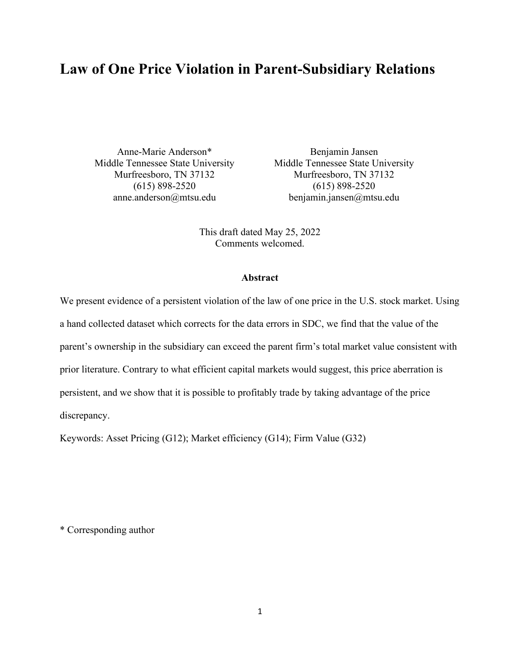# **Law of One Price Violation in Parent-Subsidiary Relations**

Anne-Marie Anderson\* Benjamin Jansen Middle Tennessee State University Middle Tennessee State University

Murfreesboro, TN 37132 Murfreesboro, TN 37132 (615) 898-2520 (615) 898-2520 anne.anderson@mtsu.edu benjamin.jansen@mtsu.edu

> This draft dated May 25, 2022 Comments welcomed.

#### **Abstract**

We present evidence of a persistent violation of the law of one price in the U.S. stock market. Using a hand collected dataset which corrects for the data errors in SDC, we find that the value of the parent's ownership in the subsidiary can exceed the parent firm's total market value consistent with prior literature. Contrary to what efficient capital markets would suggest, this price aberration is persistent, and we show that it is possible to profitably trade by taking advantage of the price discrepancy.

Keywords: Asset Pricing (G12); Market efficiency (G14); Firm Value (G32)

\* Corresponding author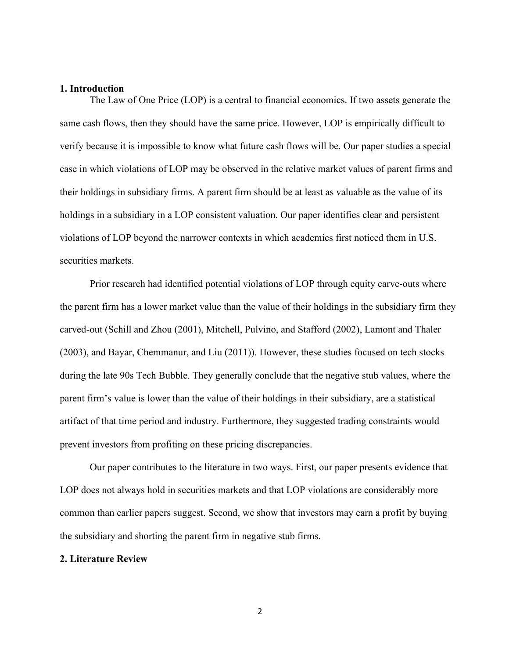#### **1. Introduction**

The Law of One Price (LOP) is a central to financial economics. If two assets generate the same cash flows, then they should have the same price. However, LOP is empirically difficult to verify because it is impossible to know what future cash flows will be. Our paper studies a special case in which violations of LOP may be observed in the relative market values of parent firms and their holdings in subsidiary firms. A parent firm should be at least as valuable as the value of its holdings in a subsidiary in a LOP consistent valuation. Our paper identifies clear and persistent violations of LOP beyond the narrower contexts in which academics first noticed them in U.S. securities markets.

Prior research had identified potential violations of LOP through equity carve-outs where the parent firm has a lower market value than the value of their holdings in the subsidiary firm they carved-out (Schill and Zhou (2001), Mitchell, Pulvino, and Stafford (2002), Lamont and Thaler (2003), and Bayar, Chemmanur, and Liu (2011)). However, these studies focused on tech stocks during the late 90s Tech Bubble. They generally conclude that the negative stub values, where the parent firm's value is lower than the value of their holdings in their subsidiary, are a statistical artifact of that time period and industry. Furthermore, they suggested trading constraints would prevent investors from profiting on these pricing discrepancies.

Our paper contributes to the literature in two ways. First, our paper presents evidence that LOP does not always hold in securities markets and that LOP violations are considerably more common than earlier papers suggest. Second, we show that investors may earn a profit by buying the subsidiary and shorting the parent firm in negative stub firms.

## **2. Literature Review**

2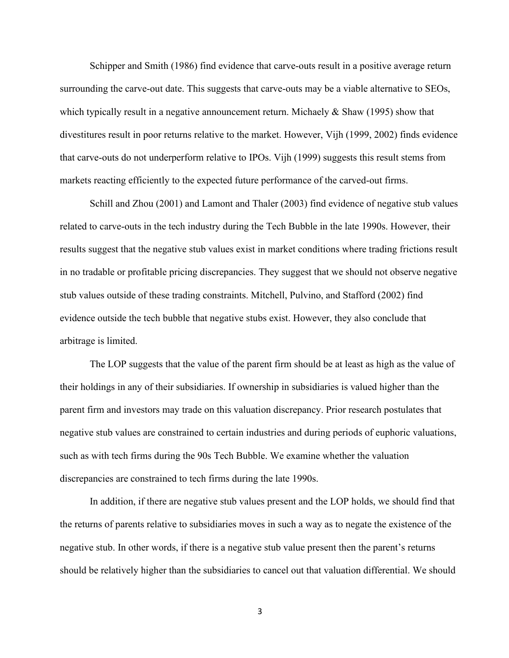Schipper and Smith (1986) find evidence that carve-outs result in a positive average return surrounding the carve-out date. This suggests that carve-outs may be a viable alternative to SEOs, which typically result in a negative announcement return. Michaely & Shaw (1995) show that divestitures result in poor returns relative to the market. However, Vijh (1999, 2002) finds evidence that carve-outs do not underperform relative to IPOs. Vijh (1999) suggests this result stems from markets reacting efficiently to the expected future performance of the carved-out firms.

Schill and Zhou (2001) and Lamont and Thaler (2003) find evidence of negative stub values related to carve-outs in the tech industry during the Tech Bubble in the late 1990s. However, their results suggest that the negative stub values exist in market conditions where trading frictions result in no tradable or profitable pricing discrepancies. They suggest that we should not observe negative stub values outside of these trading constraints. Mitchell, Pulvino, and Stafford (2002) find evidence outside the tech bubble that negative stubs exist. However, they also conclude that arbitrage is limited.

The LOP suggests that the value of the parent firm should be at least as high as the value of their holdings in any of their subsidiaries. If ownership in subsidiaries is valued higher than the parent firm and investors may trade on this valuation discrepancy. Prior research postulates that negative stub values are constrained to certain industries and during periods of euphoric valuations, such as with tech firms during the 90s Tech Bubble. We examine whether the valuation discrepancies are constrained to tech firms during the late 1990s.

In addition, if there are negative stub values present and the LOP holds, we should find that the returns of parents relative to subsidiaries moves in such a way as to negate the existence of the negative stub. In other words, if there is a negative stub value present then the parent's returns should be relatively higher than the subsidiaries to cancel out that valuation differential. We should

3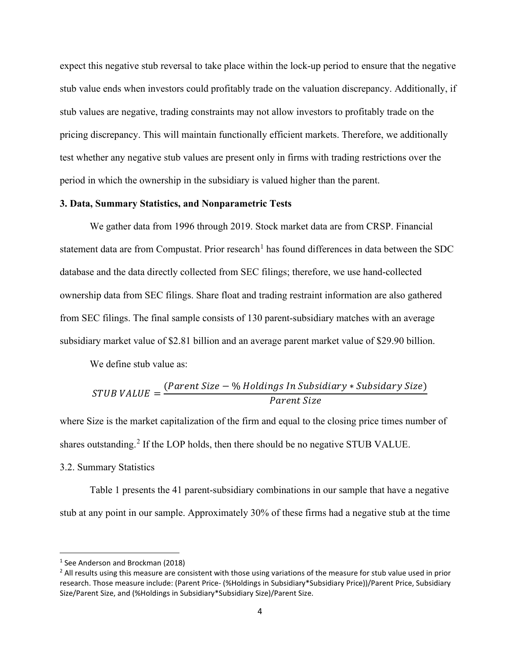expect this negative stub reversal to take place within the lock-up period to ensure that the negative stub value ends when investors could profitably trade on the valuation discrepancy. Additionally, if stub values are negative, trading constraints may not allow investors to profitably trade on the pricing discrepancy. This will maintain functionally efficient markets. Therefore, we additionally test whether any negative stub values are present only in firms with trading restrictions over the period in which the ownership in the subsidiary is valued higher than the parent.

#### **3. Data, Summary Statistics, and Nonparametric Tests**

We gather data from 1996 through 2019. Stock market data are from CRSP. Financial statement data are from Compustat. Prior research<sup>[1](#page-3-0)</sup> has found differences in data between the SDC database and the data directly collected from SEC filings; therefore, we use hand-collected ownership data from SEC filings. Share float and trading restraint information are also gathered from SEC filings. The final sample consists of 130 parent-subsidiary matches with an average subsidiary market value of \$2.81 billion and an average parent market value of \$29.90 billion.

We define stub value as:

STUB VALUE = 
$$
\frac{(Parent \ Size - \% \ Holdings \ In \ Subsidary * Subsidary \ Size)}{Parent \ Size}
$$

where Size is the market capitalization of the firm and equal to the closing price times number of shares outstanding.<sup>[2](#page-3-1)</sup> If the LOP holds, then there should be no negative STUB VALUE.

## 3.2. Summary Statistics

Table 1 presents the 41 parent-subsidiary combinations in our sample that have a negative stub at any point in our sample. Approximately 30% of these firms had a negative stub at the time

<span id="page-3-0"></span><sup>1</sup> See Anderson and Brockman (2018)

<span id="page-3-1"></span><sup>&</sup>lt;sup>2</sup> All results using this measure are consistent with those using variations of the measure for stub value used in prior research. Those measure include: (Parent Price- (%Holdings in Subsidiary\*Subsidiary Price))/Parent Price, Subsidiary Size/Parent Size, and (%Holdings in Subsidiary\*Subsidiary Size)/Parent Size.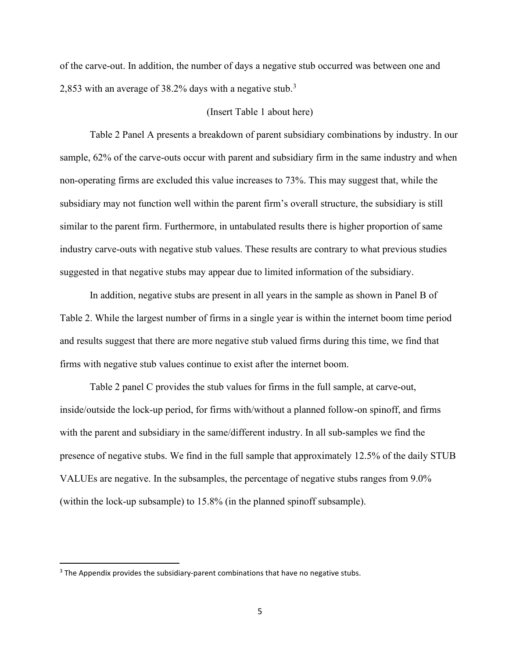of the carve-out. In addition, the number of days a negative stub occurred was between one and 2,85[3](#page-4-0) with an average of 38.2% days with a negative stub.<sup>3</sup>

## (Insert Table 1 about here)

Table 2 Panel A presents a breakdown of parent subsidiary combinations by industry. In our sample, 62% of the carve-outs occur with parent and subsidiary firm in the same industry and when non-operating firms are excluded this value increases to 73%. This may suggest that, while the subsidiary may not function well within the parent firm's overall structure, the subsidiary is still similar to the parent firm. Furthermore, in untabulated results there is higher proportion of same industry carve-outs with negative stub values. These results are contrary to what previous studies suggested in that negative stubs may appear due to limited information of the subsidiary.

In addition, negative stubs are present in all years in the sample as shown in Panel B of Table 2. While the largest number of firms in a single year is within the internet boom time period and results suggest that there are more negative stub valued firms during this time, we find that firms with negative stub values continue to exist after the internet boom.

Table 2 panel C provides the stub values for firms in the full sample, at carve-out, inside/outside the lock-up period, for firms with/without a planned follow-on spinoff, and firms with the parent and subsidiary in the same/different industry. In all sub-samples we find the presence of negative stubs. We find in the full sample that approximately 12.5% of the daily STUB VALUEs are negative. In the subsamples, the percentage of negative stubs ranges from 9.0% (within the lock-up subsample) to 15.8% (in the planned spinoff subsample).

<span id="page-4-0"></span> $3$  The Appendix provides the subsidiary-parent combinations that have no negative stubs.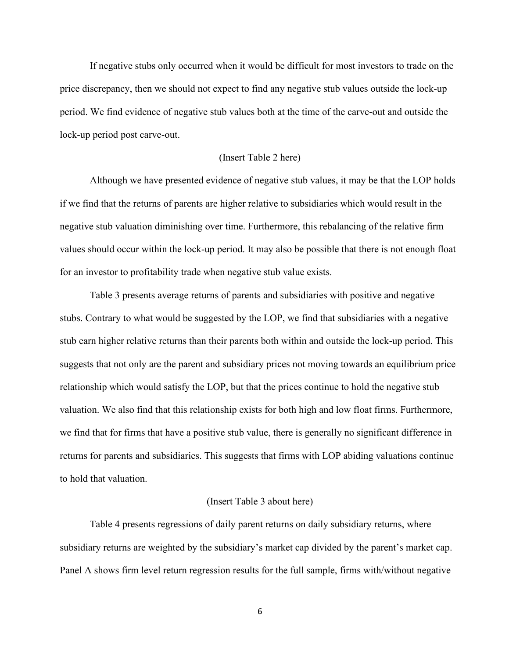If negative stubs only occurred when it would be difficult for most investors to trade on the price discrepancy, then we should not expect to find any negative stub values outside the lock-up period. We find evidence of negative stub values both at the time of the carve-out and outside the lock-up period post carve-out.

# (Insert Table 2 here)

Although we have presented evidence of negative stub values, it may be that the LOP holds if we find that the returns of parents are higher relative to subsidiaries which would result in the negative stub valuation diminishing over time. Furthermore, this rebalancing of the relative firm values should occur within the lock-up period. It may also be possible that there is not enough float for an investor to profitability trade when negative stub value exists.

Table 3 presents average returns of parents and subsidiaries with positive and negative stubs. Contrary to what would be suggested by the LOP, we find that subsidiaries with a negative stub earn higher relative returns than their parents both within and outside the lock-up period. This suggests that not only are the parent and subsidiary prices not moving towards an equilibrium price relationship which would satisfy the LOP, but that the prices continue to hold the negative stub valuation. We also find that this relationship exists for both high and low float firms. Furthermore, we find that for firms that have a positive stub value, there is generally no significant difference in returns for parents and subsidiaries. This suggests that firms with LOP abiding valuations continue to hold that valuation.

#### (Insert Table 3 about here)

Table 4 presents regressions of daily parent returns on daily subsidiary returns, where subsidiary returns are weighted by the subsidiary's market cap divided by the parent's market cap. Panel A shows firm level return regression results for the full sample, firms with/without negative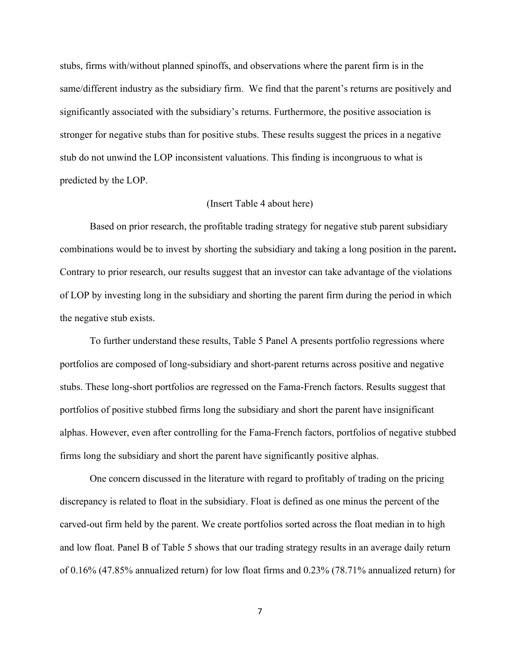stubs, firms with/without planned spinoffs, and observations where the parent firm is in the same/different industry as the subsidiary firm. We find that the parent's returns are positively and significantly associated with the subsidiary's returns. Furthermore, the positive association is stronger for negative stubs than for positive stubs. These results suggest the prices in a negative stub do not unwind the LOP inconsistent valuations. This finding is incongruous to what is predicted by the LOP.

## (Insert Table 4 about here)

Based on prior research, the profitable trading strategy for negative stub parent subsidiary combinations would be to invest by shorting the subsidiary and taking a long position in the parent**.**  Contrary to prior research, our results suggest that an investor can take advantage of the violations of LOP by investing long in the subsidiary and shorting the parent firm during the period in which the negative stub exists.

To further understand these results, Table 5 Panel A presents portfolio regressions where portfolios are composed of long-subsidiary and short-parent returns across positive and negative stubs. These long-short portfolios are regressed on the Fama-French factors. Results suggest that portfolios of positive stubbed firms long the subsidiary and short the parent have insignificant alphas. However, even after controlling for the Fama-French factors, portfolios of negative stubbed firms long the subsidiary and short the parent have significantly positive alphas.

One concern discussed in the literature with regard to profitably of trading on the pricing discrepancy is related to float in the subsidiary. Float is defined as one minus the percent of the carved-out firm held by the parent. We create portfolios sorted across the float median in to high and low float. Panel B of Table 5 shows that our trading strategy results in an average daily return of 0.16% (47.85% annualized return) for low float firms and 0.23% (78.71% annualized return) for

7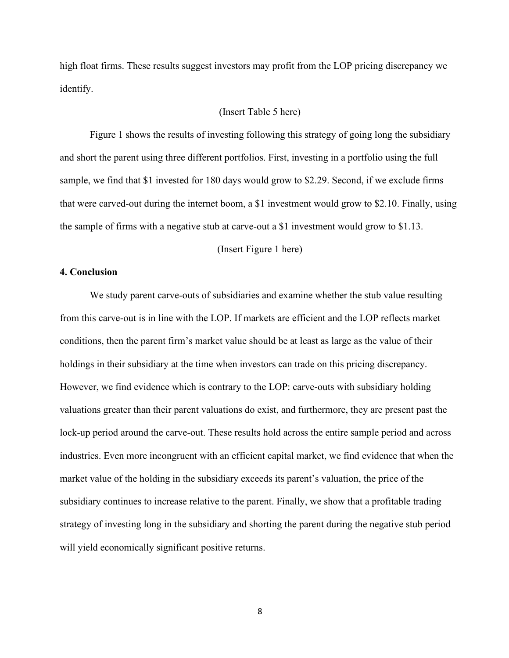high float firms. These results suggest investors may profit from the LOP pricing discrepancy we identify.

#### (Insert Table 5 here)

Figure 1 shows the results of investing following this strategy of going long the subsidiary and short the parent using three different portfolios. First, investing in a portfolio using the full sample, we find that \$1 invested for 180 days would grow to \$2.29. Second, if we exclude firms that were carved-out during the internet boom, a \$1 investment would grow to \$2.10. Finally, using the sample of firms with a negative stub at carve-out a \$1 investment would grow to \$1.13.

(Insert Figure 1 here)

# **4. Conclusion**

We study parent carve-outs of subsidiaries and examine whether the stub value resulting from this carve-out is in line with the LOP. If markets are efficient and the LOP reflects market conditions, then the parent firm's market value should be at least as large as the value of their holdings in their subsidiary at the time when investors can trade on this pricing discrepancy. However, we find evidence which is contrary to the LOP: carve-outs with subsidiary holding valuations greater than their parent valuations do exist, and furthermore, they are present past the lock-up period around the carve-out. These results hold across the entire sample period and across industries. Even more incongruent with an efficient capital market, we find evidence that when the market value of the holding in the subsidiary exceeds its parent's valuation, the price of the subsidiary continues to increase relative to the parent. Finally, we show that a profitable trading strategy of investing long in the subsidiary and shorting the parent during the negative stub period will yield economically significant positive returns.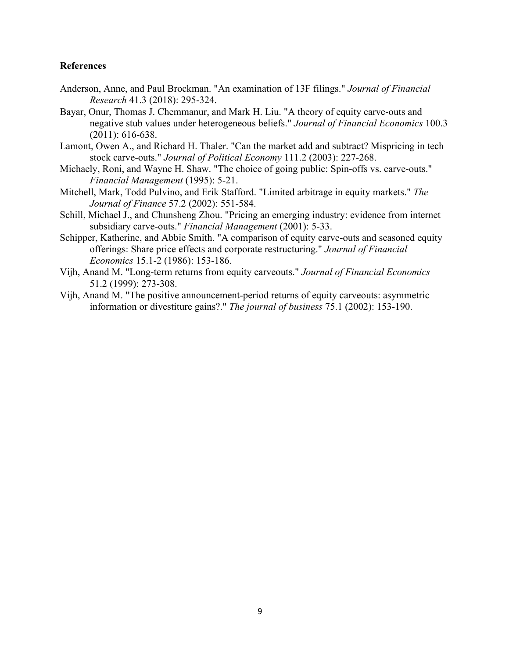# **References**

- Anderson, Anne, and Paul Brockman. "An examination of 13F filings." *Journal of Financial Research* 41.3 (2018): 295-324.
- Bayar, Onur, Thomas J. Chemmanur, and Mark H. Liu. "A theory of equity carve-outs and negative stub values under heterogeneous beliefs." *Journal of Financial Economics* 100.3 (2011): 616-638.
- Lamont, Owen A., and Richard H. Thaler. "Can the market add and subtract? Mispricing in tech stock carve-outs." *Journal of Political Economy* 111.2 (2003): 227-268.
- Michaely, Roni, and Wayne H. Shaw. "The choice of going public: Spin-offs vs. carve-outs." *Financial Management* (1995): 5-21.
- Mitchell, Mark, Todd Pulvino, and Erik Stafford. "Limited arbitrage in equity markets." *The Journal of Finance* 57.2 (2002): 551-584.
- Schill, Michael J., and Chunsheng Zhou. "Pricing an emerging industry: evidence from internet subsidiary carve-outs." *Financial Management* (2001): 5-33.
- Schipper, Katherine, and Abbie Smith. "A comparison of equity carve-outs and seasoned equity offerings: Share price effects and corporate restructuring." *Journal of Financial Economics* 15.1-2 (1986): 153-186.
- Vijh, Anand M. "Long-term returns from equity carveouts." *Journal of Financial Economics* 51.2 (1999): 273-308.
- Vijh, Anand M. "The positive announcement‐period returns of equity carveouts: asymmetric information or divestiture gains?." *The journal of business* 75.1 (2002): 153-190.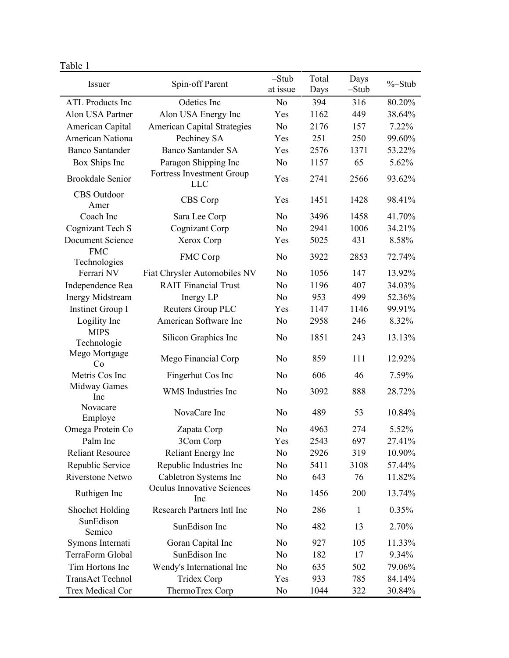# Table 1

| Issuer                     | Spin-off Parent                    | $-Stub$<br>at issue | Total<br>Days | Days<br>$-Stub$ | $% -$ Stub |
|----------------------------|------------------------------------|---------------------|---------------|-----------------|------------|
| <b>ATL Products Inc</b>    | Odetics Inc                        | No                  | 394           | 316             | 80.20%     |
| Alon USA Partner           | Alon USA Energy Inc                | Yes                 | 1162          | 449             | 38.64%     |
| American Capital           | <b>American Capital Strategies</b> | N <sub>o</sub>      | 2176          | 157             | 7.22%      |
| <b>American Nationa</b>    | Pechiney SA                        | Yes                 | 251           | 250             | 99.60%     |
| <b>Banco Santander</b>     | <b>Banco Santander SA</b>          | Yes                 | 2576          | 1371            | 53.22%     |
|                            | Paragon Shipping Inc               | N <sub>o</sub>      | 1157          | 65              | 5.62%      |
| Box Ships Inc              | Fortress Investment Group          |                     |               |                 |            |
| <b>Brookdale Senior</b>    | <b>LLC</b>                         | Yes                 | 2741          | 2566            | 93.62%     |
| CBS Outdoor<br>Amer        | CBS Corp                           | Yes                 | 1451          | 1428            | 98.41%     |
| Coach Inc                  | Sara Lee Corp                      | No                  | 3496          | 1458            | 41.70%     |
| Cognizant Tech S           | Cognizant Corp                     | N <sub>o</sub>      | 2941          | 1006            | 34.21%     |
| Document Science           | Xerox Corp                         | Yes                 | 5025          | 431             | 8.58%      |
| <b>FMC</b><br>Technologies | FMC Corp                           | No                  | 3922          | 2853            | 72.74%     |
| Ferrari NV                 | Fiat Chrysler Automobiles NV       | No                  | 1056          | 147             | 13.92%     |
| Independence Rea           | <b>RAIT Financial Trust</b>        | N <sub>o</sub>      | 1196          | 407             | 34.03%     |
| <b>Inergy Midstream</b>    | Inergy LP                          | No                  | 953           | 499             | 52.36%     |
| Instinet Group I           | Reuters Group PLC                  | Yes                 | 1147          | 1146            | 99.91%     |
| Logility Inc               | American Software Inc              | No                  | 2958          | 246             | 8.32%      |
| <b>MIPS</b>                |                                    |                     |               |                 |            |
| Technologie                | Silicon Graphics Inc               | No                  | 1851          | 243             | 13.13%     |
| Mego Mortgage              | Mego Financial Corp                | No                  | 859           | 111             | 12.92%     |
| Co                         |                                    |                     |               |                 |            |
| Metris Cos Inc             | Fingerhut Cos Inc                  | No                  | 606           | 46              | 7.59%      |
| <b>Midway Games</b><br>Inc | WMS Industries Inc                 | No                  | 3092          | 888             | 28.72%     |
| Novacare<br>Employe        | NovaCare Inc                       | No                  | 489           | 53              | 10.84%     |
| Omega Protein Co           | Zapata Corp                        | No                  | 4963          | 274             | 5.52%      |
| Palm Inc                   | 3Com Corp                          | Yes                 | 2543          | 697             | 27.41%     |
| <b>Reliant Resource</b>    | Reliant Energy Inc                 | No                  | 2926          | 319             | 10.90%     |
| Republic Service           | Republic Industries Inc            | No                  | 5411          | 3108            | 57.44%     |
| <b>Riverstone Netwo</b>    | Cabletron Systems Inc              | No                  | 643           | 76              | 11.82%     |
| Ruthigen Inc               | Oculus Innovative Sciences<br>Inc  | No                  | 1456          | 200             | 13.74%     |
| Shochet Holding            | Research Partners Intl Inc         | No                  | 286           | 1               | 0.35%      |
| SunEdison                  |                                    |                     |               |                 |            |
| Semico                     | SunEdison Inc                      | No                  | 482           | 13              | 2.70%      |
| Symons Internati           | Goran Capital Inc                  | No                  | 927           | 105             | 11.33%     |
| TerraForm Global           | SunEdison Inc                      | No                  | 182           | 17              | 9.34%      |
| Tim Hortons Inc            | Wendy's International Inc          | No                  | 635           | 502             | 79.06%     |
| <b>TransAct Technol</b>    | Tridex Corp                        | Yes                 | 933           | 785             | 84.14%     |
| Trex Medical Cor           | ThermoTrex Corp                    | No                  | 1044          | 322             | 30.84%     |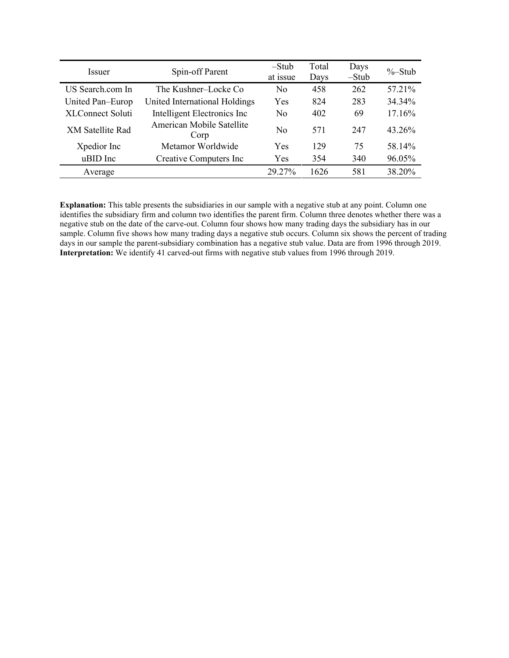| <i>Issuer</i>           | Spin-off Parent                   | $-Stub$<br>at issue | Total<br>Days | Days<br>$-Stub$ | $\%$ -Stub |
|-------------------------|-----------------------------------|---------------------|---------------|-----------------|------------|
| US Search.com In        | The Kushner-Locke Co              | No                  | 458           | 262             | 57.21%     |
| United Pan-Europ        | United International Holdings     | Yes                 | 824           | 283             | 34.34%     |
| XLConnect Soluti        | Intelligent Electronics Inc       | No                  | 402           | 69              | 17.16%     |
| <b>XM Satellite Rad</b> | American Mobile Satellite<br>Corp | No                  | 571           | 247             | 43.26%     |
| Xpedior Inc             | Metamor Worldwide                 | Yes                 | 129           | 75              | 58.14%     |
| uBID Inc                | Creative Computers Inc            | Yes                 | 354           | 340             | 96.05%     |
| Average                 |                                   | 29.27%              | 1626          | 581             | 38.20%     |

**Explanation:** This table presents the subsidiaries in our sample with a negative stub at any point. Column one identifies the subsidiary firm and column two identifies the parent firm. Column three denotes whether there was a negative stub on the date of the carve-out. Column four shows how many trading days the subsidiary has in our sample. Column five shows how many trading days a negative stub occurs. Column six shows the percent of trading days in our sample the parent-subsidiary combination has a negative stub value. Data are from 1996 through 2019. **Interpretation:** We identify 41 carved-out firms with negative stub values from 1996 through 2019.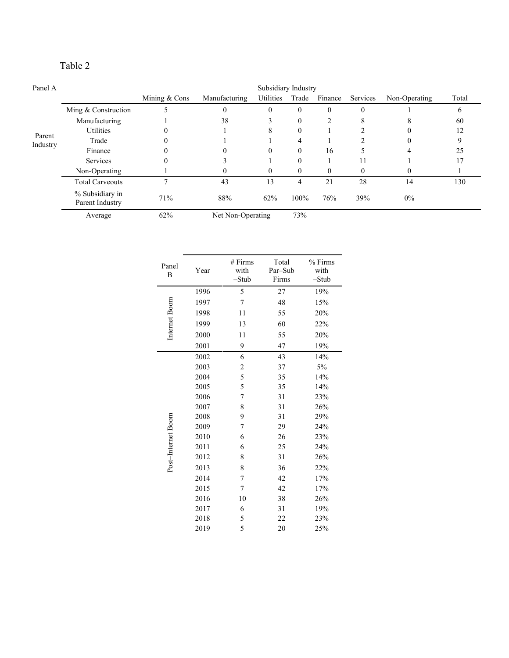# Table 2

| Panel A  | Subsidiary Industry                |               |                   |           |                |                |           |               |       |
|----------|------------------------------------|---------------|-------------------|-----------|----------------|----------------|-----------|---------------|-------|
|          |                                    | Mining & Cons | Manufacturing     | Utilities | Trade          | Finance        | Services  | Non-Operating | Total |
|          | Ming & Construction                |               | $\theta$          | $_{0}$    | $\theta$       | $\theta$       | $\Omega$  |               | 6     |
|          | Manufacturing                      |               | 38                | ∍         | $\theta$       | $\overline{2}$ | 8         |               | 60    |
| Parent   | <b>Utilities</b>                   |               |                   | 8         | $\mathbf{0}$   |                |           |               | 12    |
| Industry | Trade                              |               |                   |           | $\overline{4}$ |                | $\bigcap$ |               |       |
|          | Finance                            |               |                   |           | $\theta$       | 16             |           | 4             | 25    |
|          | Services                           | 0             |                   |           | $\theta$       |                | 11        |               |       |
|          | Non-Operating                      |               |                   |           | $\theta$       | 0              | $\Omega$  |               |       |
|          | <b>Total Carveouts</b>             |               | 43                | 13        | 4              | 21             | 28        | 14            | 130   |
|          | % Subsidiary in<br>Parent Industry | 71%           | 88%               | 62%       | 100%           | 76%            | 39%       | $0\%$         |       |
|          | Average                            | 62%           | Net Non-Operating |           | 73%            |                |           |               |       |

| Panel<br>B         | Year | # Firms<br>with<br>$-Stub$ | Total<br>Par-Sub<br>Firms | % Firms<br>with<br>-Stub |
|--------------------|------|----------------------------|---------------------------|--------------------------|
|                    | 1996 | 5                          | 27                        | 19%                      |
|                    | 1997 | 7                          | 48                        | 15%                      |
|                    | 1998 | 11                         | 55                        | 20%                      |
|                    | 1999 | 13                         | 60                        | 22%                      |
| Internet Boom      | 2000 | 11                         | 55                        | 20%                      |
|                    | 2001 | 9                          | 47                        | 19%                      |
|                    | 2002 | 6                          | 43                        | 14%                      |
|                    | 2003 | $\overline{\mathbf{c}}$    | 37                        | 5%                       |
|                    | 2004 | 5                          | 35                        | 14%                      |
|                    | 2005 | 5                          | 35                        | 14%                      |
|                    | 2006 | 7                          | 31                        | 23%                      |
|                    | 2007 | 8                          | 31                        | 26%                      |
|                    | 2008 | 9                          | 31                        | 29%                      |
|                    | 2009 | 7                          | 29                        | 24%                      |
|                    | 2010 | 6                          | 26                        | 23%                      |
|                    | 2011 | 6                          | 25                        | 24%                      |
|                    | 2012 | 8                          | 31                        | 26%                      |
| Post-Internet Boom | 2013 | 8                          | 36                        | 22%                      |
|                    | 2014 | 7                          | 42                        | 17%                      |
|                    | 2015 | 7                          | 42                        | 17%                      |
|                    | 2016 | 10                         | 38                        | 26%                      |
|                    | 2017 | 6                          | 31                        | 19%                      |
|                    | 2018 | 5                          | 22                        | 23%                      |
|                    | 2019 | 5                          | 20                        | 25%                      |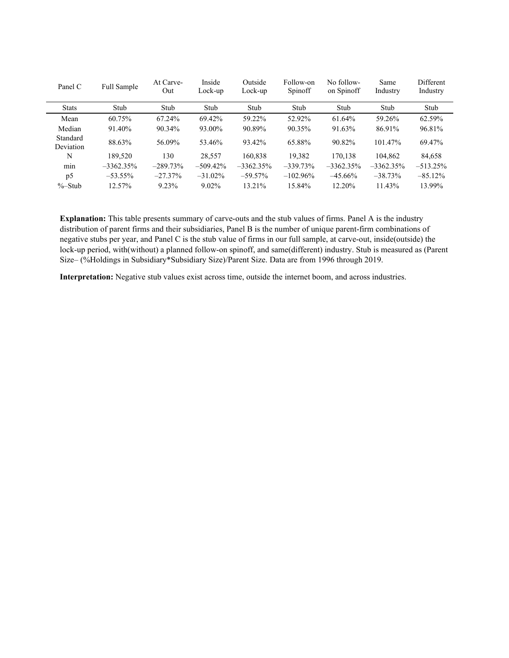| Panel C               | Full Sample  | At Carve-<br>Out | Inside<br>Lock-up | Outside<br>Lock-up | Follow-on<br>Spinoff | No follow-<br>on Spinoff | Same<br>Industry | Different<br>Industry |
|-----------------------|--------------|------------------|-------------------|--------------------|----------------------|--------------------------|------------------|-----------------------|
| <b>Stats</b>          | Stub         | Stub             | Stub              | Stub               | Stub                 | Stub                     | Stub             | Stub                  |
| Mean                  | 60.75%       | 67.24%           | 69.42%            | 59.22%             | 52.92%               | 61.64%                   | 59.26%           | 62.59%                |
| Median                | 91.40%       | 90.34%           | 93.00%            | 90.89%             | 90.35%               | 91.63%                   | 86.91%           | 96.81%                |
| Standard<br>Deviation | 88.63%       | 56.09%           | 53.46%            | 93.42%             | 65.88%               | 90.82%                   | 101.47%          | 69.47%                |
| N                     | 189.520      | 130              | 28,557            | 160.838            | 19.382               | 170,138                  | 104,862          | 84,658                |
| min                   | $-3362.35\%$ | $-289.73\%$      | $-509.42\%$       | $-3362.35\%$       | $-339.73\%$          | $-3362.35\%$             | $-3362.35\%$     | $-513.25\%$           |
| p <sub>5</sub>        | $-53.55\%$   | $-27.37\%$       | $-31.02\%$        | $-59.57\%$         | $-102.96\%$          | $-45.66\%$               | $-38.73%$        | $-85.12\%$            |
| %–Stub                | 12.57%       | 9.23%            | $9.02\%$          | 13.21%             | 15.84%               | 12.20%                   | 11.43%           | 13.99%                |

**Explanation:** This table presents summary of carve-outs and the stub values of firms. Panel A is the industry distribution of parent firms and their subsidiaries, Panel B is the number of unique parent-firm combinations of negative stubs per year, and Panel C is the stub value of firms in our full sample, at carve-out, inside(outside) the lock-up period, with(without) a planned follow-on spinoff, and same(different) industry. Stub is measured as (Parent Size– (%Holdings in Subsidiary\*Subsidiary Size)/Parent Size. Data are from 1996 through 2019.

**Interpretation:** Negative stub values exist across time, outside the internet boom, and across industries.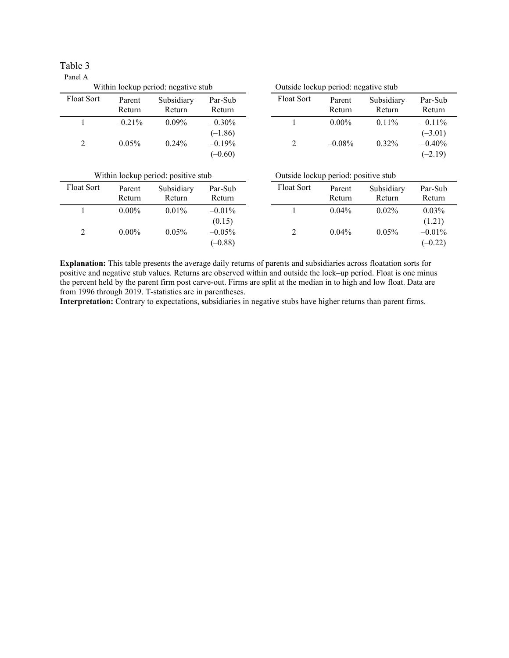| Table 3 |  |
|---------|--|
| Panel A |  |

| Within lockup period: negative stub |                  |                      | Outside lockup period: negative stub |                   |                  |                      |                                    |
|-------------------------------------|------------------|----------------------|--------------------------------------|-------------------|------------------|----------------------|------------------------------------|
| <b>Float Sort</b>                   | Parent<br>Return | Subsidiary<br>Return | Par-Sub<br>Return                    | <b>Float Sort</b> | Parent<br>Return | Subsidiary<br>Return | Par-Sub<br>Return                  |
|                                     | $-0.21\%$        | $0.09\%$             | $-0.30\%$                            |                   | $0.00\%$         | $0.11\%$             | $-0.11\%$                          |
| 2                                   | $0.05\%$         | $0.24\%$             | $(-1.86)$<br>$-0.19%$<br>$(-0.60)$   |                   | $-0.08\%$        | $0.32\%$             | $(-3.01)$<br>$-0.40%$<br>$(-2.19)$ |

| Within lockup period: positive stub |                  |                      | Outside lockup period: positive stub |                   |                  |                      |                                  |
|-------------------------------------|------------------|----------------------|--------------------------------------|-------------------|------------------|----------------------|----------------------------------|
| <b>Float Sort</b>                   | Parent<br>Return | Subsidiary<br>Return | Par-Sub<br>Return                    | <b>Float Sort</b> | Parent<br>Return | Subsidiary<br>Return | Par-Sub<br>Return                |
|                                     | $0.00\%$         | $0.01\%$             | $-0.01\%$                            |                   | $0.04\%$         | $0.02\%$             | $0.03\%$                         |
| 2                                   | $0.00\%$         | $0.05\%$             | (0.15)<br>$-0.05\%$<br>$(-0.88)$     |                   | $0.04\%$         | $0.05\%$             | (1.21)<br>$-0.01\%$<br>$(-0.22)$ |

**Explanation:** This table presents the average daily returns of parents and subsidiaries across floatation sorts for positive and negative stub values. Returns are observed within and outside the lock–up period. Float is one minus the percent held by the parent firm post carve-out. Firms are split at the median in to high and low float. Data are from 1996 through 2019. T-statistics are in parentheses.

**Interpretation:** Contrary to expectations, **s**ubsidiaries in negative stubs have higher returns than parent firms.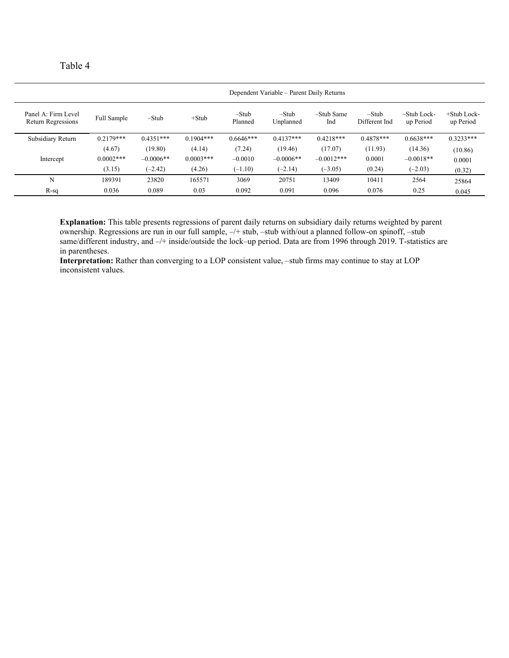| an |  |
|----|--|
|----|--|

|                                                  |              |             |              |                    | Dependent Variable – Parent Daily Returns |                   |                        |                          |                          |
|--------------------------------------------------|--------------|-------------|--------------|--------------------|-------------------------------------------|-------------------|------------------------|--------------------------|--------------------------|
| Panel A: Firm Level<br><b>Return Regressions</b> | Full Sample  | $-Stub$     | $+$ Stub     | $-Stub$<br>Planned | $-Stub$<br>Unplanned                      | -Stub Same<br>Ind | -Stub<br>Different Ind | -Stub Lock-<br>up Period | +Stub Lock-<br>up Period |
| Subsidiary Return                                | $0.2179***$  | $0.4351***$ | $0.1904***$  | $0.6646***$        | $0.4137***$                               | $0.4218***$       | $0.4878***$            | $0.6638***$              | $0.3233***$              |
|                                                  | (4.67)       | (19.80)     | (4.14)       | (7.24)             | (19.46)                                   | (17.07)           | (11.93)                | (14.36)                  | (10.86)                  |
| Intercept                                        | $0.0002$ *** | $-0.0006**$ | $0.0003$ *** | $-0.0010$          | $-0.0006**$                               | $-0.0012***$      | 0.0001                 | $-0.0018**$              | 0.0001                   |
|                                                  | (3.15)       | $(-2.42)$   | (4.26)       | $(-1.10)$          | $(-2.14)$                                 | $(-3.05)$         | (0.24)                 | $(-2.03)$                | (0.32)                   |
| N                                                | 189391       | 23820       | 165571       | 3069               | 20751                                     | 13409             | 10411                  | 2564                     | 25864                    |
| $R-sq$                                           | 0.036        | 0.089       | 0.03         | 0.092              | 0.091                                     | 0.096             | 0.076                  | 0.25                     | 0.045                    |

**Explanation:** This table presents regressions of parent daily returns on subsidiary daily returns weighted by parent ownership. Regressions are run in our full sample, –/+ stub, –stub with/out a planned follow-on spinoff, –stub same/different industry, and  $-/+$  inside/outside the lock–up period. Data are from 1996 through 2019. T-statistics are in parentheses.

Interpretation: Rather than converging to a LOP consistent value, -stub firms may continue to stay at LOP inconsistent values.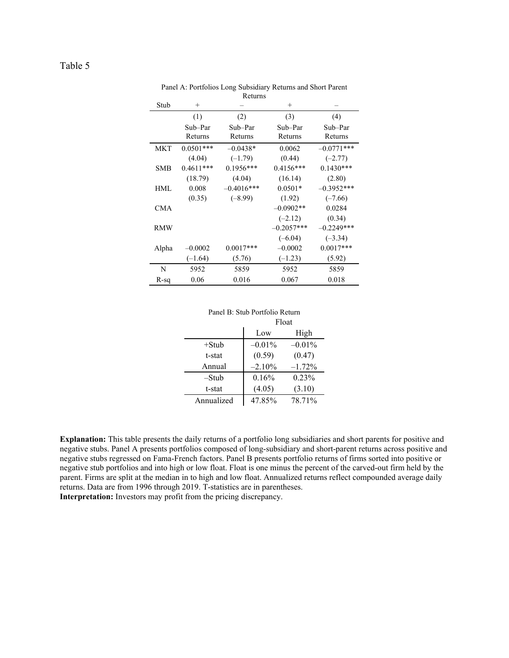| Stub       | $^{+}$      |              | $^{+}$       |              |
|------------|-------------|--------------|--------------|--------------|
|            | (1)         | (2)          | (3)          | (4)          |
|            | Sub-Par     | Sub-Par      | Sub-Par      | Sub-Par      |
|            | Returns     | Returns      | Returns      | Returns      |
| MKT        | $0.0501***$ | $-0.0438*$   | 0.0062       | $-0.0771***$ |
|            | (4.04)      | $(-1.79)$    | (0.44)       | $(-2.77)$    |
| SMB        | $0.4611***$ | $0.1956***$  | $0.4156***$  | $0.1430***$  |
|            | (18.79)     | (4.04)       | (16.14)      | (2.80)       |
| HML        | 0.008       | $-0.4016***$ | $0.0501*$    | $-0.3952***$ |
|            | (0.35)      | $(-8.99)$    | (1.92)       | $(-7.66)$    |
| <b>CMA</b> |             |              | $-0.0902**$  | 0.0284       |
|            |             |              | $(-2.12)$    | (0.34)       |
| <b>RMW</b> |             |              | $-0.2057***$ | $-0.2249***$ |
|            |             |              | $(-6.04)$    | $(-3.34)$    |
| Alpha      | $-0.0002$   | $0.0017***$  | $-0.0002$    | $0.0017***$  |
|            | $(-1.64)$   | (5.76)       | $(-1.23)$    | (5.92)       |
| N          | 5952        | 5859         | 5952         | 5859         |
| R-sq       | 0.06        | 0.016        | 0.067        | 0.018        |

Panel A: Portfolios Long Subsidiary Returns and Short Parent Returns

| Panel B: Stub Portfolio Return |
|--------------------------------|
| $E1 - 4$                       |

|            | Float     |           |
|------------|-----------|-----------|
|            | Low       | High      |
| $+$ Stub   | $-0.01\%$ | $-0.01\%$ |
| t-stat     | (0.59)    | (0.47)    |
| Annual     | $-2.10%$  | $-1.72%$  |
| $-Stub$    | 0.16%     | 0.23%     |
| t-stat     | (4.05)    | (3.10)    |
| Annualized | 47.85%    | 78.71%    |

**Explanation:** This table presents the daily returns of a portfolio long subsidiaries and short parents for positive and negative stubs. Panel A presents portfolios composed of long-subsidiary and short-parent returns across positive and negative stubs regressed on Fama-French factors. Panel B presents portfolio returns of firms sorted into positive or negative stub portfolios and into high or low float. Float is one minus the percent of the carved-out firm held by the parent. Firms are split at the median in to high and low float. Annualized returns reflect compounded average daily returns. Data are from 1996 through 2019. T-statistics are in parentheses.

**Interpretation:** Investors may profit from the pricing discrepancy.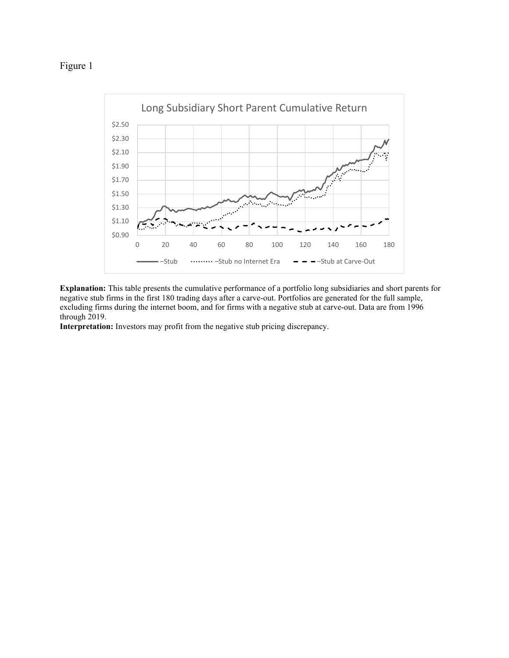# Figure 1



**Explanation:** This table presents the cumulative performance of a portfolio long subsidiaries and short parents for negative stub firms in the first 180 trading days after a carve-out. Portfolios are generated for the full sample, excluding firms during the internet boom, and for firms with a negative stub at carve-out. Data are from 1996 through 2019.

**Interpretation:** Investors may profit from the negative stub pricing discrepancy.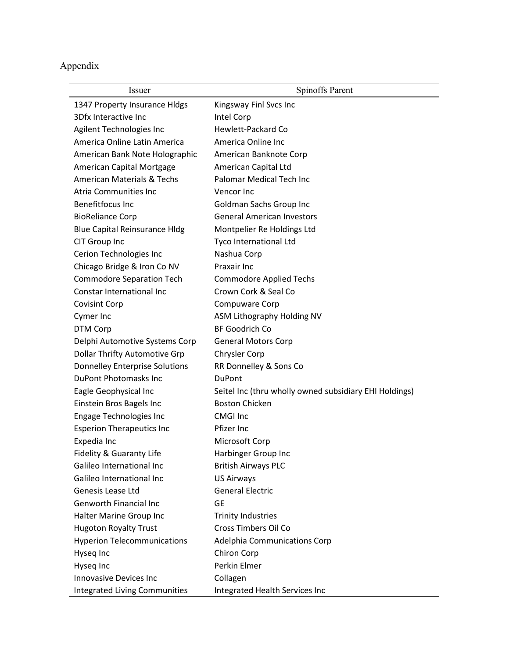Appendix

| Issuer                                | <b>Spinoffs Parent</b>                                 |
|---------------------------------------|--------------------------------------------------------|
| 1347 Property Insurance Hldgs         | Kingsway Finl Svcs Inc                                 |
| 3Dfx Interactive Inc                  | Intel Corp                                             |
| Agilent Technologies Inc              | Hewlett-Packard Co                                     |
| America Online Latin America          | America Online Inc                                     |
| American Bank Note Holographic        | American Banknote Corp                                 |
| American Capital Mortgage             | American Capital Ltd                                   |
| <b>American Materials &amp; Techs</b> | Palomar Medical Tech Inc                               |
| Atria Communities Inc                 | Vencor Inc                                             |
| <b>Benefitfocus Inc</b>               | <b>Goldman Sachs Group Inc</b>                         |
| <b>BioReliance Corp</b>               | <b>General American Investors</b>                      |
| <b>Blue Capital Reinsurance Hldg</b>  | Montpelier Re Holdings Ltd                             |
| CIT Group Inc                         | Tyco International Ltd                                 |
| Cerion Technologies Inc               | Nashua Corp                                            |
| Chicago Bridge & Iron Co NV           | Praxair Inc                                            |
| <b>Commodore Separation Tech</b>      | <b>Commodore Applied Techs</b>                         |
| Constar International Inc             | Crown Cork & Seal Co                                   |
| <b>Covisint Corp</b>                  | Compuware Corp                                         |
| Cymer Inc                             | ASM Lithography Holding NV                             |
| DTM Corp                              | <b>BF Goodrich Co</b>                                  |
| Delphi Automotive Systems Corp        | <b>General Motors Corp</b>                             |
| <b>Dollar Thrifty Automotive Grp</b>  | Chrysler Corp                                          |
| <b>Donnelley Enterprise Solutions</b> | RR Donnelley & Sons Co                                 |
| <b>DuPont Photomasks Inc</b>          | <b>DuPont</b>                                          |
| Eagle Geophysical Inc                 | Seitel Inc (thru wholly owned subsidiary EHI Holdings) |
| Einstein Bros Bagels Inc              | <b>Boston Chicken</b>                                  |
| <b>Engage Technologies Inc</b>        | <b>CMGI Inc</b>                                        |
| <b>Esperion Therapeutics Inc</b>      | Pfizer Inc                                             |
| Expedia Inc                           | Microsoft Corp                                         |
| Fidelity & Guaranty Life              | Harbinger Group Inc                                    |
| Galileo International Inc             | <b>British Airways PLC</b>                             |
| Galileo International Inc             | <b>US Airways</b>                                      |
| Genesis Lease Ltd                     | <b>General Electric</b>                                |
| <b>Genworth Financial Inc</b>         | <b>GE</b>                                              |
| Halter Marine Group Inc               | <b>Trinity Industries</b>                              |
| <b>Hugoton Royalty Trust</b>          | Cross Timbers Oil Co                                   |
| <b>Hyperion Telecommunications</b>    | Adelphia Communications Corp                           |
| Hyseq Inc                             | Chiron Corp                                            |
| Hyseq Inc                             | Perkin Elmer                                           |
| <b>Innovasive Devices Inc</b>         | Collagen                                               |
| <b>Integrated Living Communities</b>  | Integrated Health Services Inc                         |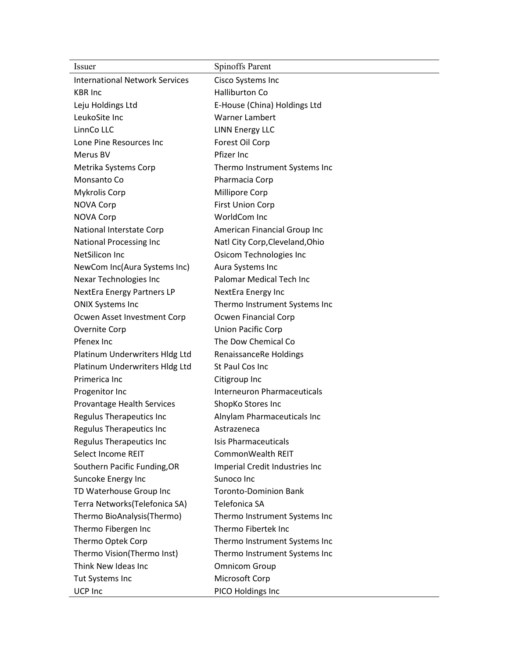| <i>Issuer</i>                         | <b>Spinoffs Parent</b>             |
|---------------------------------------|------------------------------------|
| <b>International Network Services</b> | Cisco Systems Inc                  |
| <b>KBR</b> Inc                        | <b>Halliburton Co</b>              |
| Leju Holdings Ltd                     | E-House (China) Holdings Ltd       |
| LeukoSite Inc                         | Warner Lambert                     |
| LinnCo LLC                            | <b>LINN Energy LLC</b>             |
| Lone Pine Resources Inc               | Forest Oil Corp                    |
| Merus BV                              | Pfizer Inc                         |
| Metrika Systems Corp                  | Thermo Instrument Systems Inc      |
| Monsanto Co                           | Pharmacia Corp                     |
| <b>Mykrolis Corp</b>                  | Millipore Corp                     |
| <b>NOVA Corp</b>                      | <b>First Union Corp</b>            |
| <b>NOVA Corp</b>                      | WorldCom Inc                       |
| National Interstate Corp              | American Financial Group Inc       |
| National Processing Inc               | Natl City Corp, Cleveland, Ohio    |
| NetSilicon Inc                        | Osicom Technologies Inc            |
| NewCom Inc(Aura Systems Inc)          | Aura Systems Inc                   |
| Nexar Technologies Inc                | Palomar Medical Tech Inc           |
| <b>NextEra Energy Partners LP</b>     | NextEra Energy Inc                 |
| <b>ONIX Systems Inc</b>               | Thermo Instrument Systems Inc      |
| Ocwen Asset Investment Corp           | Ocwen Financial Corp               |
| Overnite Corp                         | Union Pacific Corp                 |
| Pfenex Inc                            | The Dow Chemical Co                |
| Platinum Underwriters Hldg Ltd        | RenaissanceRe Holdings             |
| Platinum Underwriters Hldg Ltd        | St Paul Cos Inc                    |
| Primerica Inc                         | Citigroup Inc                      |
| Progenitor Inc                        | <b>Interneuron Pharmaceuticals</b> |
| Provantage Health Services            | ShopKo Stores Inc                  |
| <b>Regulus Therapeutics Inc</b>       | Alnylam Pharmaceuticals Inc        |
| <b>Regulus Therapeutics Inc</b>       | Astrazeneca                        |
| <b>Regulus Therapeutics Inc</b>       | <b>Isis Pharmaceuticals</b>        |
| Select Income REIT                    | CommonWealth REIT                  |
| Southern Pacific Funding, OR          | Imperial Credit Industries Inc     |
| Suncoke Energy Inc                    | Sunoco Inc                         |
| TD Waterhouse Group Inc               | <b>Toronto-Dominion Bank</b>       |
| Terra Networks(Telefonica SA)         | Telefonica SA                      |
| Thermo BioAnalysis(Thermo)            | Thermo Instrument Systems Inc      |
| Thermo Fibergen Inc                   | Thermo Fibertek Inc                |
| Thermo Optek Corp                     | Thermo Instrument Systems Inc      |
| Thermo Vision(Thermo Inst)            | Thermo Instrument Systems Inc      |
| Think New Ideas Inc                   | <b>Omnicom Group</b>               |
| Tut Systems Inc                       | Microsoft Corp                     |
| UCP Inc                               | PICO Holdings Inc                  |